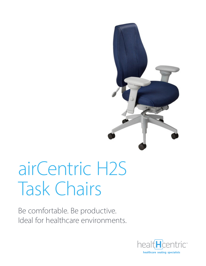

# airCentric H2S Task Chairs

Be comfortable. Be productive. Ideal for healthcare environments.